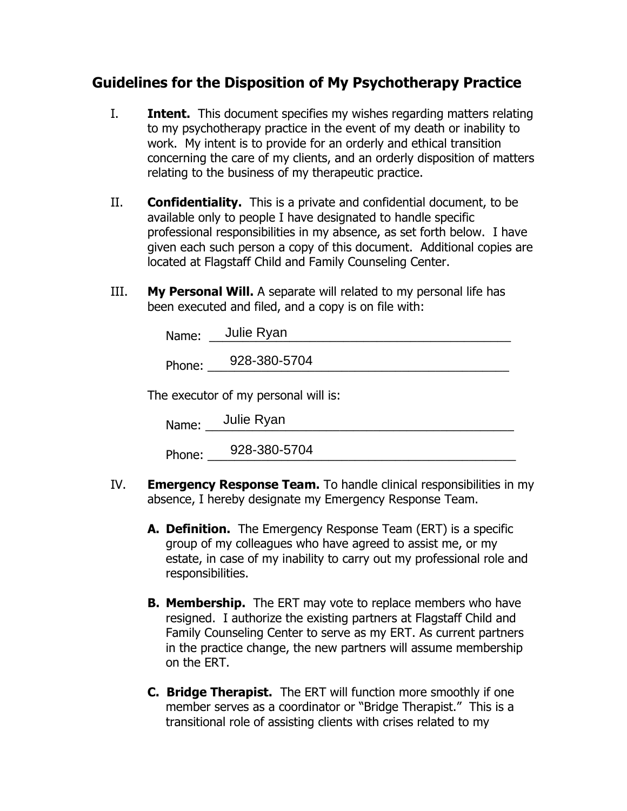# **Guidelines for the Disposition of My Psychotherapy Practice**

- I. **Intent.** This document specifies my wishes regarding matters relating to my psychotherapy practice in the event of my death or inability to work. My intent is to provide for an orderly and ethical transition concerning the care of my clients, and an orderly disposition of matters relating to the business of my therapeutic practice.
- II. **Confidentiality.** This is a private and confidential document, to be available only to people I have designated to handle specific professional responsibilities in my absence, as set forth below. I have given each such person a copy of this document. Additional copies are located at Flagstaff Child and Family Counseling Center.
- III. **My Personal Will.** A separate will related to my personal life has been executed and filed, and a copy is on file with:

|                                      | Name: Julie Ryan    |  |  |  |
|--------------------------------------|---------------------|--|--|--|
|                                      | Phone: 928-380-5704 |  |  |  |
| The executor of my personal will is: |                     |  |  |  |
|                                      | Name: Julie Ryan    |  |  |  |

Phone: \_\_\_\_\_\_\_\_\_\_\_\_\_\_\_\_\_\_\_\_\_\_\_\_\_\_\_\_\_\_\_\_\_\_\_\_\_\_\_\_\_\_\_\_\_\_ 928-380-5704

- IV. **Emergency Response Team.** To handle clinical responsibilities in my absence, I hereby designate my Emergency Response Team.
	- **A. Definition.** The Emergency Response Team (ERT) is a specific group of my colleagues who have agreed to assist me, or my estate, in case of my inability to carry out my professional role and responsibilities.
	- **B. Membership.** The ERT may vote to replace members who have resigned. I authorize the existing partners at Flagstaff Child and Family Counseling Center to serve as my ERT. As current partners in the practice change, the new partners will assume membership on the ERT.
	- **C. Bridge Therapist.** The ERT will function more smoothly if one member serves as a coordinator or "Bridge Therapist." This is a transitional role of assisting clients with crises related to my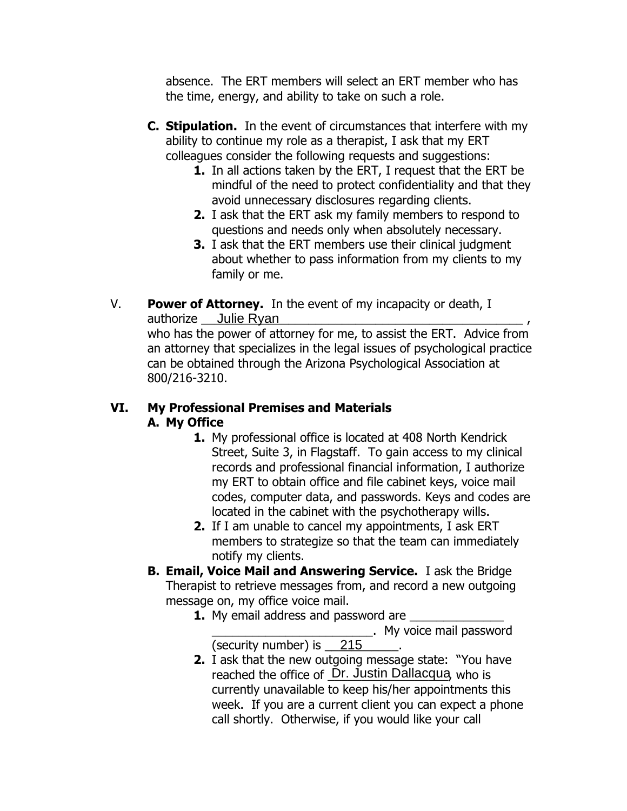absence. The ERT members will select an ERT member who has the time, energy, and ability to take on such a role.

- **C. Stipulation.** In the event of circumstances that interfere with my ability to continue my role as a therapist, I ask that my ERT colleagues consider the following requests and suggestions:
	- **1.** In all actions taken by the ERT, I request that the ERT be mindful of the need to protect confidentiality and that they avoid unnecessary disclosures regarding clients.
	- **2.** I ask that the ERT ask my family members to respond to questions and needs only when absolutely necessary.
	- **3.** I ask that the ERT members use their clinical judgment about whether to pass information from my clients to my family or me.
- V. **Power of Attorney.** In the event of my incapacity or death, I authorize <u>Julie Ryan and Barrell and Barrell and Barrell and Barrell</u> and Australian and Australian and Australia

who has the power of attorney for me, to assist the ERT. Advice from an attorney that specializes in the legal issues of psychological practice can be obtained through the Arizona Psychological Association at 800/216-3210.

## **VI. My Professional Premises and Materials A. My Office**

- **1.** My professional office is located at 408 North Kendrick Street, Suite 3, in Flagstaff. To gain access to my clinical records and professional financial information, I authorize my ERT to obtain office and file cabinet keys, voice mail codes, computer data, and passwords. Keys and codes are located in the cabinet with the psychotherapy wills.
- **2.** If I am unable to cancel my appointments, I ask ERT members to strategize so that the team can immediately notify my clients.
- **B. Email, Voice Mail and Answering Service.** I ask the Bridge Therapist to retrieve messages from, and record a new outgoing message on, my office voice mail.
	- **1.** My email address and password are

\_\_\_\_\_\_\_\_\_\_\_\_\_\_\_\_\_\_\_\_\_\_\_\_. My voice mail password

- (security number) is \_\_\_\_\_\_\_\_\_\_\_. 215
- **2.** I ask that the new outgoing message state: "You have reached the office of Dr. Justin Dallacqua, who is currently unavailable to keep his/her appointments this week. If you are a current client you can expect a phone call shortly. Otherwise, if you would like your call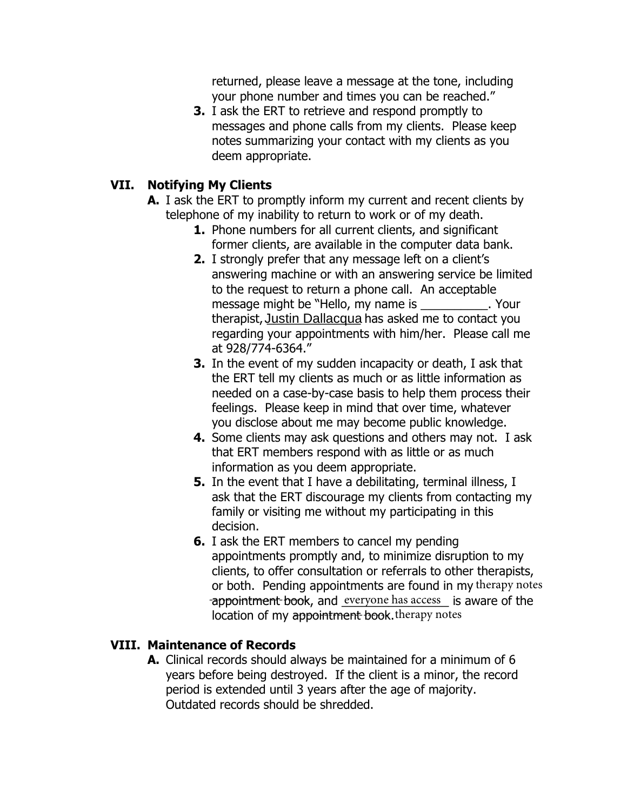returned, please leave a message at the tone, including your phone number and times you can be reached."

**3.** I ask the ERT to retrieve and respond promptly to messages and phone calls from my clients. Please keep notes summarizing your contact with my clients as you deem appropriate.

### **VII. Notifying My Clients**

- **A.** I ask the ERT to promptly inform my current and recent clients by telephone of my inability to return to work or of my death.
	- **1.** Phone numbers for all current clients, and significant former clients, are available in the computer data bank.
	- **2.** I strongly prefer that any message left on a client's answering machine or with an answering service be limited to the request to return a phone call. An acceptable message might be "Hello, my name is \_\_\_\_\_\_\_\_\_\_. Your therapist, Justin Dallacqua has asked me to contact you regarding your appointments with him/her. Please call me at 928/774-6364."
	- **3.** In the event of my sudden incapacity or death, I ask that the ERT tell my clients as much or as little information as needed on a case-by-case basis to help them process their feelings. Please keep in mind that over time, whatever you disclose about me may become public knowledge.
	- **4.** Some clients may ask questions and others may not. I ask that ERT members respond with as little or as much information as you deem appropriate.
	- **5.** In the event that I have a debilitating, terminal illness, I ask that the ERT discourage my clients from contacting my family or visiting me without my participating in this decision.
	- **6.** I ask the ERT members to cancel my pending appointments promptly and, to minimize disruption to my clients, to offer consultation or referrals to other therapists, or both. Pending appointments are found in my therapy notes -appointment book, and everyone has access is aware of the location of my appointment book. therapy notes

### **VIII. Maintenance of Records**

**A.** Clinical records should always be maintained for a minimum of 6 years before being destroyed. If the client is a minor, the record period is extended until 3 years after the age of majority. Outdated records should be shredded.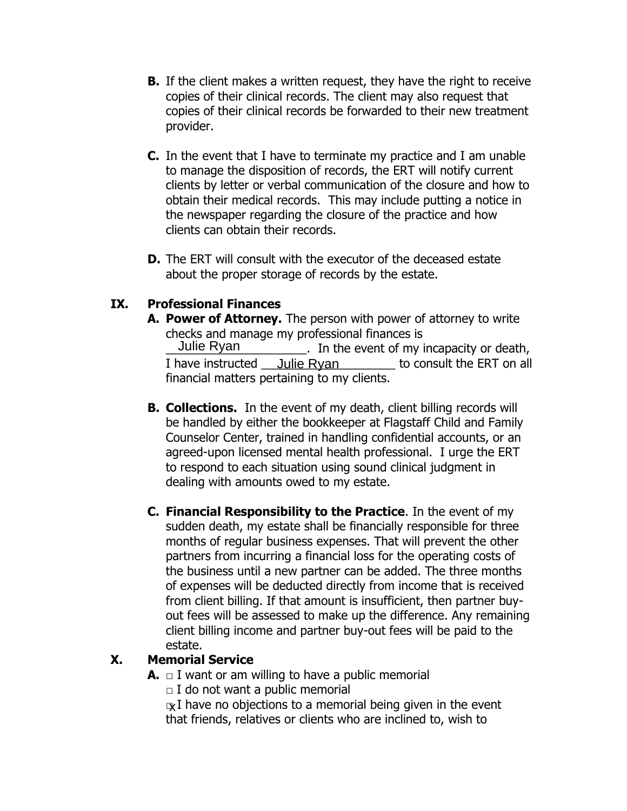- **B.** If the client makes a written request, they have the right to receive copies of their clinical records. The client may also request that copies of their clinical records be forwarded to their new treatment provider.
- **C.** In the event that I have to terminate my practice and I am unable to manage the disposition of records, the ERT will notify current clients by letter or verbal communication of the closure and how to obtain their medical records. This may include putting a notice in the newspaper regarding the closure of the practice and how clients can obtain their records.
- **D.** The ERT will consult with the executor of the deceased estate about the proper storage of records by the estate.

## **IX. Professional Finances**

- **A. Power of Attorney.** The person with power of attorney to write checks and manage my professional finances is \_\_\_\_\_\_\_\_\_\_\_\_\_\_\_\_\_\_\_\_\_. In the event of my incapacity or death, I have instructed <u>Julie Ryan success</u> to consult the ERT on all financial matters pertaining to my clients. Julie Ryan
- **B. Collections.** In the event of my death, client billing records will be handled by either the bookkeeper at Flagstaff Child and Family Counselor Center, trained in handling confidential accounts, or an agreed-upon licensed mental health professional. I urge the ERT to respond to each situation using sound clinical judgment in dealing with amounts owed to my estate.
- **C. Financial Responsibility to the Practice**. In the event of my sudden death, my estate shall be financially responsible for three months of regular business expenses. That will prevent the other partners from incurring a financial loss for the operating costs of the business until a new partner can be added. The three months of expenses will be deducted directly from income that is received from client billing. If that amount is insufficient, then partner buyout fees will be assessed to make up the difference. Any remaining client billing income and partner buy-out fees will be paid to the estate.

#### **X. Memorial Service**

- **A.** □ I want or am willing to have a public memorial
	- **□** I do not want a public memorial
	- ্<sub>X</sub>I have no objections to a memorial being given in the event that friends, relatives or clients who are inclined to, wish to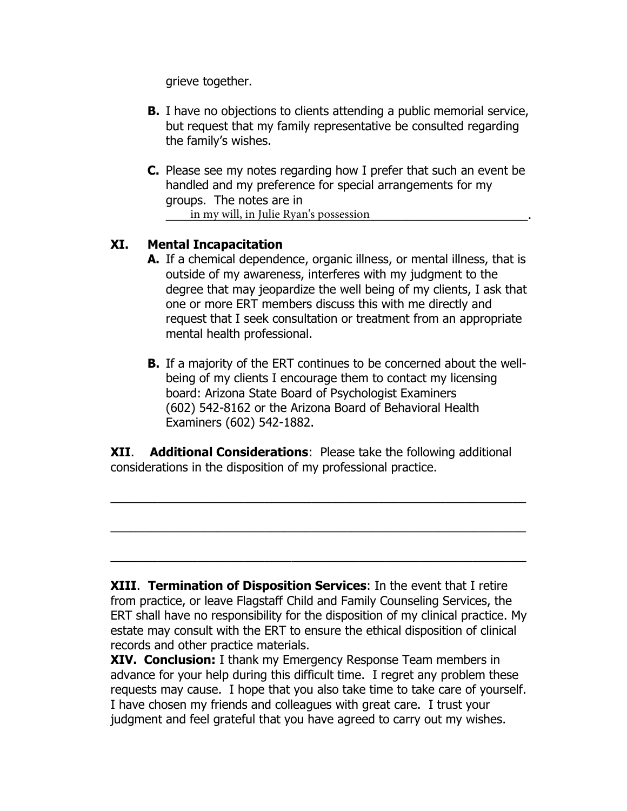grieve together.

- **B.** I have no objections to clients attending a public memorial service, but request that my family representative be consulted regarding the family's wishes.
- **C.** Please see my notes regarding how I prefer that such an event be handled and my preference for special arrangements for my groups. The notes are in in my will, in Julie Ryan's possession **in the same of the United States**  $\frac{1}{2}$ .

#### **XI. Mental Incapacitation**

- **A.** If a chemical dependence, organic illness, or mental illness, that is outside of my awareness, interferes with my judgment to the degree that may jeopardize the well being of my clients, I ask that one or more ERT members discuss this with me directly and request that I seek consultation or treatment from an appropriate mental health professional.
- **B.** If a majority of the ERT continues to be concerned about the wellbeing of my clients I encourage them to contact my licensing board: Arizona State Board of Psychologist Examiners (602) 542-8162 or the Arizona Board of Behavioral Health Examiners (602) 542-1882.

**XII**. **Additional Considerations**: Please take the following additional considerations in the disposition of my professional practice.

 $\overline{a_1}$  , and the contribution of the contribution of the contribution of the contribution of the contribution of the contribution of the contribution of the contribution of the contribution of the contribution of the

 $\overline{a_1}$  , and the contribution of the contribution of the contribution of the contribution of the contribution of the contribution of the contribution of the contribution of the contribution of the contribution of the

 $\overline{a_1}$  , and the contribution of the contribution of the contribution of the contribution of the contribution of the contribution of the contribution of the contribution of the contribution of the contribution of the

**XIII**. **Termination of Disposition Services**: In the event that I retire from practice, or leave Flagstaff Child and Family Counseling Services, the ERT shall have no responsibility for the disposition of my clinical practice. My estate may consult with the ERT to ensure the ethical disposition of clinical records and other practice materials.

**XIV. Conclusion:** I thank my Emergency Response Team members in advance for your help during this difficult time. I regret any problem these requests may cause. I hope that you also take time to take care of yourself. I have chosen my friends and colleagues with great care. I trust your judgment and feel grateful that you have agreed to carry out my wishes.